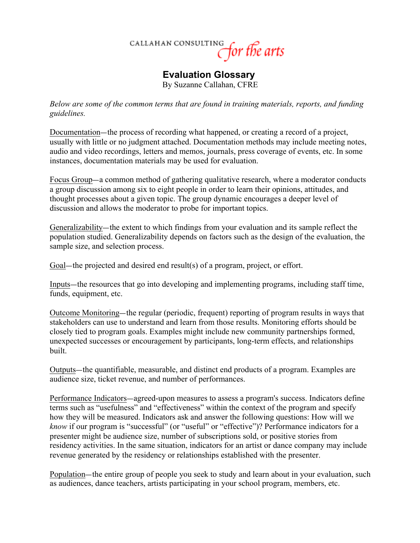

## **Evaluation Glossary** By Suzanne Callahan, CFRE

*Below are some of the common terms that are found in training materials, reports, and funding guidelines.*

Documentation—the process of recording what happened, or creating a record of a project, usually with little or no judgment attached. Documentation methods may include meeting notes, audio and video recordings, letters and memos, journals, press coverage of events, etc. In some instances, documentation materials may be used for evaluation.

Focus Group—a common method of gathering qualitative research, where a moderator conducts a group discussion among six to eight people in order to learn their opinions, attitudes, and thought processes about a given topic. The group dynamic encourages a deeper level of discussion and allows the moderator to probe for important topics.

Generalizability—the extent to which findings from your evaluation and its sample reflect the population studied. Generalizability depends on factors such as the design of the evaluation, the sample size, and selection process.

Goal—the projected and desired end result(s) of a program, project, or effort.

Inputs—the resources that go into developing and implementing programs, including staff time, funds, equipment, etc.

Outcome Monitoring—the regular (periodic, frequent) reporting of program results in ways that stakeholders can use to understand and learn from those results. Monitoring efforts should be closely tied to program goals. Examples might include new community partnerships formed, unexpected successes or encouragement by participants, long-term effects, and relationships built.

Outputs—the quantifiable, measurable, and distinct end products of a program. Examples are audience size, ticket revenue, and number of performances.

Performance Indicators—agreed-upon measures to assess a program's success. Indicators define terms such as "usefulness" and "effectiveness" within the context of the program and specify how they will be measured. Indicators ask and answer the following questions: How will we *know* if our program is "successful" (or "useful" or "effective")? Performance indicators for a presenter might be audience size, number of subscriptions sold, or positive stories from residency activities. In the same situation, indicators for an artist or dance company may include revenue generated by the residency or relationships established with the presenter.

Population—the entire group of people you seek to study and learn about in your evaluation, such as audiences, dance teachers, artists participating in your school program, members, etc.